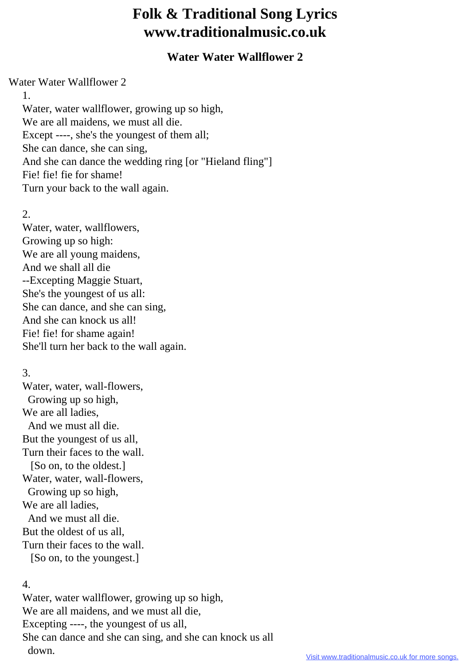# **Folk & Traditional Song Lyrics www.traditionalmusic.co.uk**

## **Water Water Wallflower 2**

#### Water Water Wallflower 2

1.

 Water, water wallflower, growing up so high, We are all maidens, we must all die. Except ----, she's the youngest of them all; She can dance, she can sing, And she can dance the wedding ring [or "Hieland fling"] Fie! fie! fie for shame! Turn your back to the wall again.

## 2.

 Water, water, wallflowers, Growing up so high: We are all young maidens, And we shall all die --Excepting Maggie Stuart, She's the youngest of us all: She can dance, and she can sing, And she can knock us all! Fie! fie! for shame again! She'll turn her back to the wall again.

## 3.

 Water, water, wall-flowers, Growing up so high, We are all ladies. And we must all die. But the youngest of us all, Turn their faces to the wall. [So on, to the oldest.] Water, water, wall-flowers, Growing up so high, We are all ladies, And we must all die. But the oldest of us all, Turn their faces to the wall. [So on, to the youngest.]

## 4.

 Water, water wallflower, growing up so high, We are all maidens, and we must all die, Excepting ----, the youngest of us all, She can dance and she can sing, and she can knock us all down.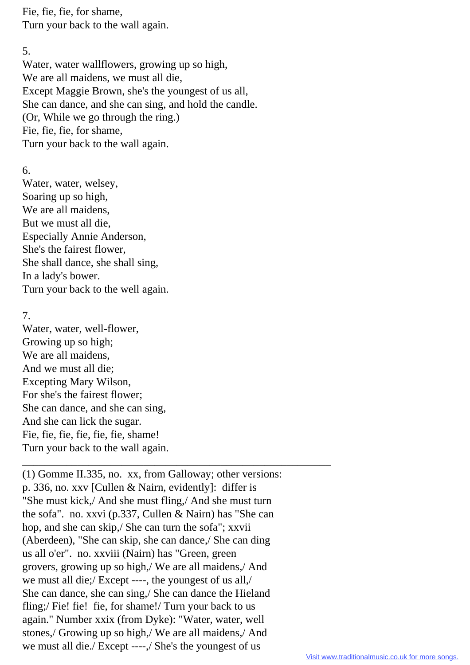Fie, fie, fie, for shame, Turn your back to the wall again.

### 5.

 Water, water wallflowers, growing up so high, We are all maidens, we must all die, Except Maggie Brown, she's the youngest of us all, She can dance, and she can sing, and hold the candle. (Or, While we go through the ring.) Fie, fie, fie, for shame, Turn your back to the wall again.

## 6.

 Water, water, welsey, Soaring up so high, We are all maidens, But we must all die, Especially Annie Anderson, She's the fairest flower, She shall dance, she shall sing, In a lady's bower. Turn your back to the well again.

## 7.

 Water, water, well-flower, Growing up so high; We are all maidens, And we must all die; Excepting Mary Wilson, For she's the fairest flower; She can dance, and she can sing, And she can lick the sugar. Fie, fie, fie, fie, fie, fie, shame! Turn your back to the wall again.

 \_\_\_\_\_\_\_\_\_\_\_\_\_\_\_\_\_\_\_\_\_\_\_\_\_\_\_\_\_\_\_\_\_\_\_\_\_\_\_\_\_\_\_\_\_\_\_\_\_\_\_\_\_\_\_\_ (1) Gomme II.335, no. xx, from Galloway; other versions: p. 336, no. xxv [Cullen & Nairn, evidently]: differ is "She must kick,/ And she must fling,/ And she must turn the sofa". no. xxvi (p.337, Cullen & Nairn) has "She can hop, and she can skip,/ She can turn the sofa"; xxvii (Aberdeen), "She can skip, she can dance,/ She can ding us all o'er". no. xxviii (Nairn) has "Green, green grovers, growing up so high,/ We are all maidens,/ And we must all die;/ Except ----, the youngest of us all,/ She can dance, she can sing,/ She can dance the Hieland fling;/ Fie! fie! fie, for shame!/ Turn your back to us again." Number xxix (from Dyke): "Water, water, well stones,/ Growing up so high,/ We are all maidens,/ And we must all die./ Except ----,/ She's the youngest of us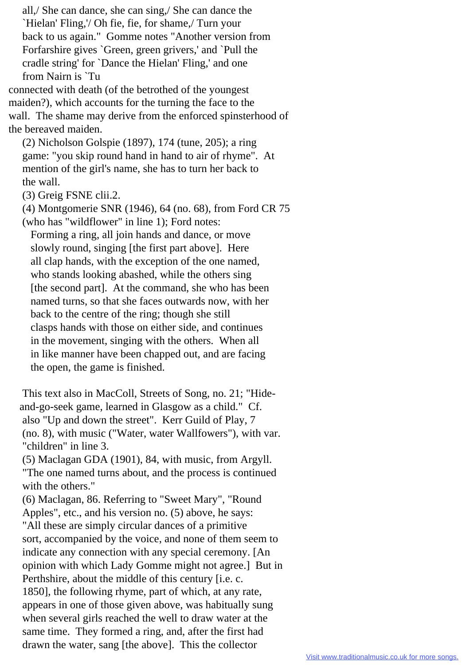all,/ She can dance, she can sing,/ She can dance the `Hielan' Fling,'/ Oh fie, fie, for shame,/ Turn your back to us again." Gomme notes "Another version from Forfarshire gives `Green, green grivers,' and `Pull the cradle string' for `Dance the Hielan' Fling,' and one from Nairn is `Tu

connected with death (of the betrothed of the youngest maiden?), which accounts for the turning the face to the wall. The shame may derive from the enforced spinsterhood of the bereaved maiden.

 (2) Nicholson Golspie (1897), 174 (tune, 205); a ring game: "you skip round hand in hand to air of rhyme". At mention of the girl's name, she has to turn her back to the wall.

(3) Greig FSNE clii.2.

 (4) Montgomerie SNR (1946), 64 (no. 68), from Ford CR 75 (who has "wildflower" in line 1); Ford notes:

 Forming a ring, all join hands and dance, or move slowly round, singing [the first part above]. Here all clap hands, with the exception of the one named, who stands looking abashed, while the others sing [the second part]. At the command, she who has been named turns, so that she faces outwards now, with her back to the centre of the ring; though she still clasps hands with those on either side, and continues in the movement, singing with the others. When all in like manner have been chapped out, and are facing the open, the game is finished.

 This text also in MacColl, Streets of Song, no. 21; "Hide and-go-seek game, learned in Glasgow as a child." Cf. also "Up and down the street". Kerr Guild of Play, 7 (no. 8), with music ("Water, water Wallfowers"), with var. "children" in line 3.

 (5) Maclagan GDA (1901), 84, with music, from Argyll. "The one named turns about, and the process is continued with the others."

 (6) Maclagan, 86. Referring to "Sweet Mary", "Round Apples", etc., and his version no. (5) above, he says: "All these are simply circular dances of a primitive sort, accompanied by the voice, and none of them seem to indicate any connection with any special ceremony. [An opinion with which Lady Gomme might not agree.] But in Perthshire, about the middle of this century [i.e. c. 1850], the following rhyme, part of which, at any rate, appears in one of those given above, was habitually sung when several girls reached the well to draw water at the same time. They formed a ring, and, after the first had drawn the water, sang [the above]. This the collector